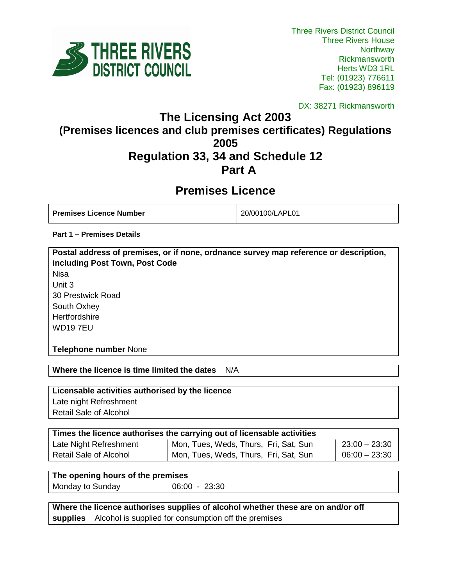

DX: 38271 Rickmansworth

## **The Licensing Act 2003 (Premises licences and club premises certificates) Regulations 2005 Regulation 33, 34 and Schedule 12 Part A**

# **Premises Licence**

**Premises Licence Number** 20/00100/LAPL01

**Part 1 – Premises Details**

**Postal address of premises, or if none, ordnance survey map reference or description, including Post Town, Post Code** Nisa Unit 3 30 Prestwick Road South Oxhey **Hertfordshire** WD19 7EU

**Telephone number** None

**Where the licence is time limited the dates** N/A

**Licensable activities authorised by the licence** 

Late night Refreshment Retail Sale of Alcohol

| Times the licence authorises the carrying out of licensable activities |                                       |                 |  |
|------------------------------------------------------------------------|---------------------------------------|-----------------|--|
| Late Night Refreshment                                                 | Mon, Tues, Weds, Thurs, Fri, Sat, Sun | $23:00 - 23:30$ |  |
| Retail Sale of Alcohol                                                 | Mon, Tues, Weds, Thurs, Fri, Sat, Sun | $06:00 - 23:30$ |  |

**The opening hours of the premises**

Monday to Sunday 06:00 - 23:30

**Where the licence authorises supplies of alcohol whether these are on and/or off supplies** Alcohol is supplied for consumption off the premises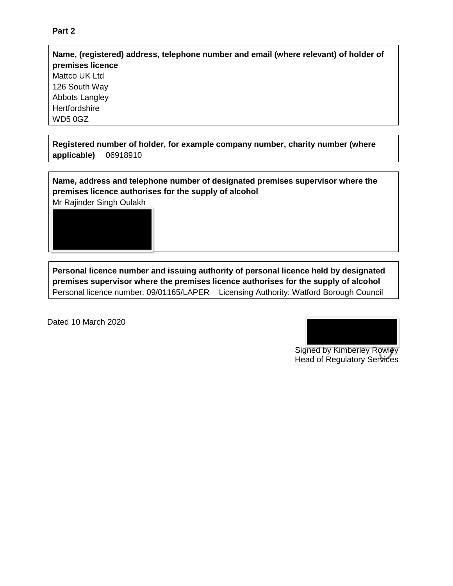## **Name, (registered) address, telephone number and email (where relevant) of holder of premises licence** Mattco UK Ltd 126 South Way Abbots Langley **Hertfordshire** WD5 0GZ

**Registered number of holder, for example company number, charity number (where applicable)** 06918910

**Name, address and telephone number of designated premises supervisor where the premises licence authorises for the supply of alcohol**

Mr Rajinder Singh Oulakh



**Personal licence number and issuing authority of personal licence held by designated premises supervisor where the premises licence authorises for the supply of alcohol** Personal licence number: 09/01165/LAPER Licensing Authority: Watford Borough Council

Dated 10 March 2020



Signed by Kimberley Rowley Head of Regulatory Services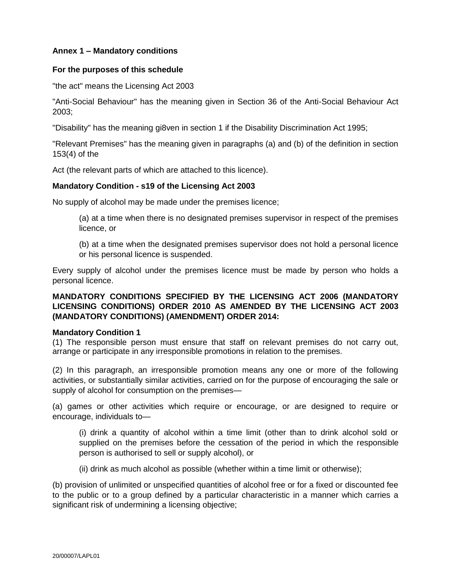### **Annex 1 – Mandatory conditions**

#### **For the purposes of this schedule**

"the act" means the Licensing Act 2003

"Anti-Social Behaviour" has the meaning given in Section 36 of the Anti-Social Behaviour Act 2003;

"Disability" has the meaning gi8ven in section 1 if the Disability Discrimination Act 1995;

"Relevant Premises" has the meaning given in paragraphs (a) and (b) of the definition in section 153(4) of the

Act (the relevant parts of which are attached to this licence).

#### **Mandatory Condition - s19 of the Licensing Act 2003**

No supply of alcohol may be made under the premises licence;

(a) at a time when there is no designated premises supervisor in respect of the premises licence, or

(b) at a time when the designated premises supervisor does not hold a personal licence or his personal licence is suspended.

Every supply of alcohol under the premises licence must be made by person who holds a personal licence.

## **MANDATORY CONDITIONS SPECIFIED BY THE LICENSING ACT 2006 (MANDATORY LICENSING CONDITIONS) ORDER 2010 AS AMENDED BY THE LICENSING ACT 2003 (MANDATORY CONDITIONS) (AMENDMENT) ORDER 2014:**

#### **Mandatory Condition 1**

(1) The responsible person must ensure that staff on relevant premises do not carry out, arrange or participate in any irresponsible promotions in relation to the premises.

(2) In this paragraph, an irresponsible promotion means any one or more of the following activities, or substantially similar activities, carried on for the purpose of encouraging the sale or supply of alcohol for consumption on the premises—

(a) games or other activities which require or encourage, or are designed to require or encourage, individuals to—

(i) drink a quantity of alcohol within a time limit (other than to drink alcohol sold or supplied on the premises before the cessation of the period in which the responsible person is authorised to sell or supply alcohol), or

(ii) drink as much alcohol as possible (whether within a time limit or otherwise);

(b) provision of unlimited or unspecified quantities of alcohol free or for a fixed or discounted fee to the public or to a group defined by a particular characteristic in a manner which carries a significant risk of undermining a licensing objective;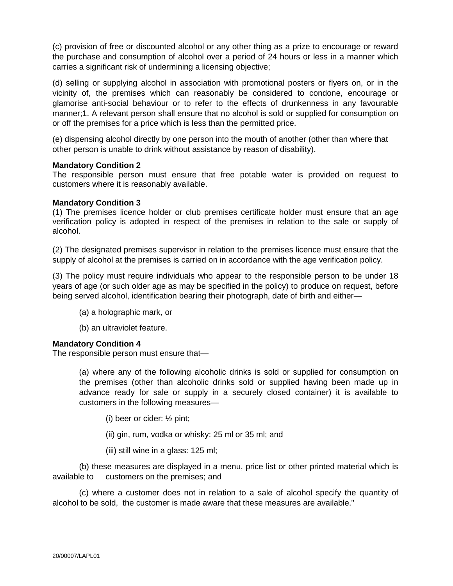(c) provision of free or discounted alcohol or any other thing as a prize to encourage or reward the purchase and consumption of alcohol over a period of 24 hours or less in a manner which carries a significant risk of undermining a licensing objective;

(d) selling or supplying alcohol in association with promotional posters or flyers on, or in the vicinity of, the premises which can reasonably be considered to condone, encourage or glamorise anti-social behaviour or to refer to the effects of drunkenness in any favourable manner;1. A relevant person shall ensure that no alcohol is sold or supplied for consumption on or off the premises for a price which is less than the permitted price.

(e) dispensing alcohol directly by one person into the mouth of another (other than where that other person is unable to drink without assistance by reason of disability).

#### **Mandatory Condition 2**

The responsible person must ensure that free potable water is provided on request to customers where it is reasonably available.

### **Mandatory Condition 3**

(1) The premises licence holder or club premises certificate holder must ensure that an age verification policy is adopted in respect of the premises in relation to the sale or supply of alcohol.

(2) The designated premises supervisor in relation to the premises licence must ensure that the supply of alcohol at the premises is carried on in accordance with the age verification policy.

(3) The policy must require individuals who appear to the responsible person to be under 18 years of age (or such older age as may be specified in the policy) to produce on request, before being served alcohol, identification bearing their photograph, date of birth and either—

- (a) a holographic mark, or
- (b) an ultraviolet feature.

#### **Mandatory Condition 4**

The responsible person must ensure that—

(a) where any of the following alcoholic drinks is sold or supplied for consumption on the premises (other than alcoholic drinks sold or supplied having been made up in advance ready for sale or supply in a securely closed container) it is available to customers in the following measures—

- (i) beer or cider: ½ pint;
- (ii) gin, rum, vodka or whisky: 25 ml or 35 ml; and
- (iii) still wine in a glass: 125 ml;

(b) these measures are displayed in a menu, price list or other printed material which is available to customers on the premises; and

(c) where a customer does not in relation to a sale of alcohol specify the quantity of alcohol to be sold, the customer is made aware that these measures are available."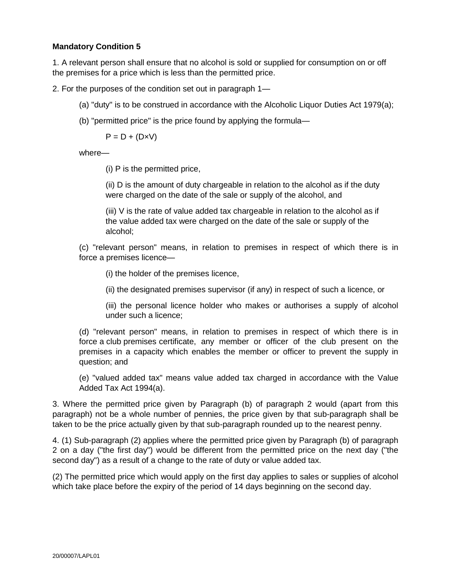## **Mandatory Condition 5**

1. A relevant person shall ensure that no alcohol is sold or supplied for consumption on or off the premises for a price which is less than the permitted price.

2. For the purposes of the condition set out in paragraph 1—

- (a) "duty" is to be construed in accordance with the Alcoholic Liquor Duties Act 1979(a);
- (b) "permitted price" is the price found by applying the formula—

 $P = D + (D \times V)$ 

where—

(i) P is the permitted price,

(ii) D is the amount of duty chargeable in relation to the alcohol as if the duty were charged on the date of the sale or supply of the alcohol, and

(iii) V is the rate of value added tax chargeable in relation to the alcohol as if the value added tax were charged on the date of the sale or supply of the alcohol;

(c) "relevant person" means, in relation to premises in respect of which there is in force a premises licence—

(i) the holder of the premises licence,

(ii) the designated premises supervisor (if any) in respect of such a licence, or

(iii) the personal licence holder who makes or authorises a supply of alcohol under such a licence;

(d) "relevant person" means, in relation to premises in respect of which there is in force a club premises certificate, any member or officer of the club present on the premises in a capacity which enables the member or officer to prevent the supply in question; and

(e) "valued added tax" means value added tax charged in accordance with the Value Added Tax Act 1994(a).

3. Where the permitted price given by Paragraph (b) of paragraph 2 would (apart from this paragraph) not be a whole number of pennies, the price given by that sub-paragraph shall be taken to be the price actually given by that sub-paragraph rounded up to the nearest penny.

4. (1) Sub-paragraph (2) applies where the permitted price given by Paragraph (b) of paragraph 2 on a day ("the first day") would be different from the permitted price on the next day ("the second day") as a result of a change to the rate of duty or value added tax.

(2) The permitted price which would apply on the first day applies to sales or supplies of alcohol which take place before the expiry of the period of 14 days beginning on the second day.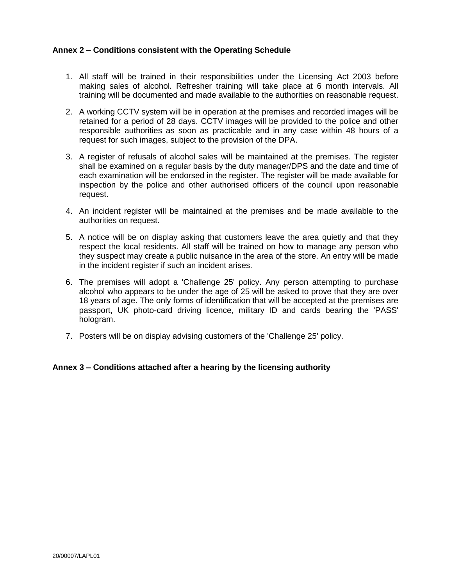## **Annex 2 – Conditions consistent with the Operating Schedule**

- 1. All staff will be trained in their responsibilities under the Licensing Act 2003 before making sales of alcohol. Refresher training will take place at 6 month intervals. All training will be documented and made available to the authorities on reasonable request.
- 2. A working CCTV system will be in operation at the premises and recorded images will be retained for a period of 28 days. CCTV images will be provided to the police and other responsible authorities as soon as practicable and in any case within 48 hours of a request for such images, subject to the provision of the DPA.
- 3. A register of refusals of alcohol sales will be maintained at the premises. The register shall be examined on a regular basis by the duty manager/DPS and the date and time of each examination will be endorsed in the register. The register will be made available for inspection by the police and other authorised officers of the council upon reasonable request.
- 4. An incident register will be maintained at the premises and be made available to the authorities on request.
- 5. A notice will be on display asking that customers leave the area quietly and that they respect the local residents. All staff will be trained on how to manage any person who they suspect may create a public nuisance in the area of the store. An entry will be made in the incident register if such an incident arises.
- 6. The premises will adopt a 'Challenge 25' policy. Any person attempting to purchase alcohol who appears to be under the age of 25 will be asked to prove that they are over 18 years of age. The only forms of identification that will be accepted at the premises are passport, UK photo-card driving licence, military ID and cards bearing the 'PASS' hologram.
- 7. Posters will be on display advising customers of the 'Challenge 25' policy.

#### **Annex 3 – Conditions attached after a hearing by the licensing authority**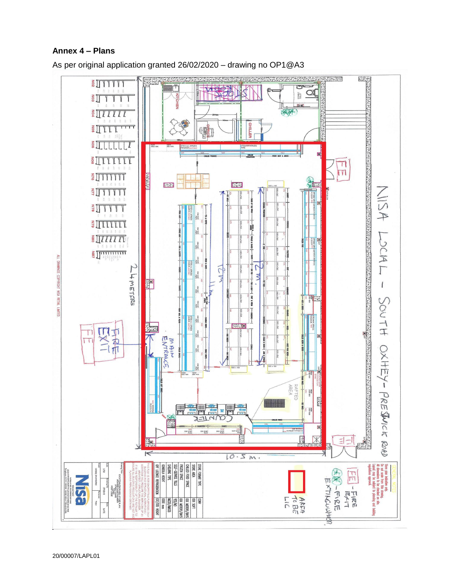## **Annex 4 – Plans**



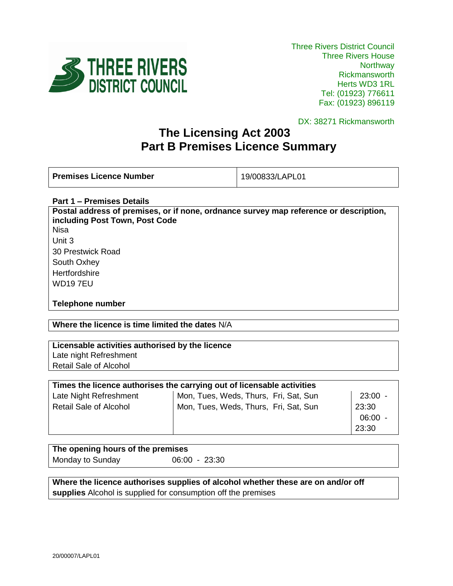

DX: 38271 Rickmansworth

# **The Licensing Act 2003 Part B Premises Licence Summary**

**Premises Licence Number** 19/00833/LAPL01

### **Part 1 – Premises Details**

**Postal address of premises, or if none, ordnance survey map reference or description, including Post Town, Post Code** Nisa Unit 3 30 Prestwick Road South Oxhey **Hertfordshire** WD19 7EU

## **Telephone number**

## **Where the licence is time limited the dates** N/A

## **Licensable activities authorised by the licence**

Late night Refreshment Retail Sale of Alcohol

| Times the licence authorises the carrying out of licensable activities |                                       |       |  |
|------------------------------------------------------------------------|---------------------------------------|-------|--|
| Late Night Refreshment                                                 | Mon, Tues, Weds, Thurs, Fri, Sat, Sun | 23:00 |  |
| <b>Retail Sale of Alcohol</b>                                          | Mon, Tues, Weds, Thurs, Fri, Sat, Sun | 23:30 |  |
|                                                                        |                                       | 06:00 |  |
|                                                                        |                                       | 23:30 |  |

## **The opening hours of the premises** Monday to Sunday 06:00 - 23:30

**Where the licence authorises supplies of alcohol whether these are on and/or off supplies** Alcohol is supplied for consumption off the premises